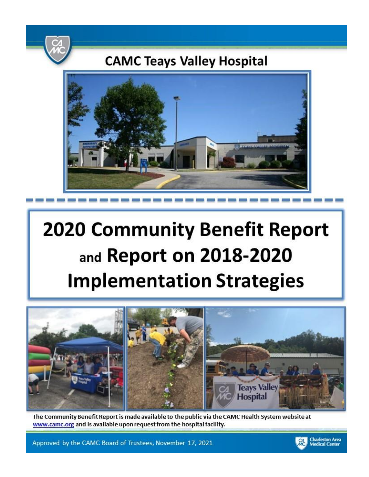

# **CAMC Teays Valley Hospital**



# **2020 Community Benefit Report** and Report on 2018-2020 **Implementation Strategies**



The Community Benefit Report is made available to the public via the CAMC Health System website at www.camc.org and is available upon request from the hospital facility.

Approved by the CAMC Board of Trustees, November 17, 2021

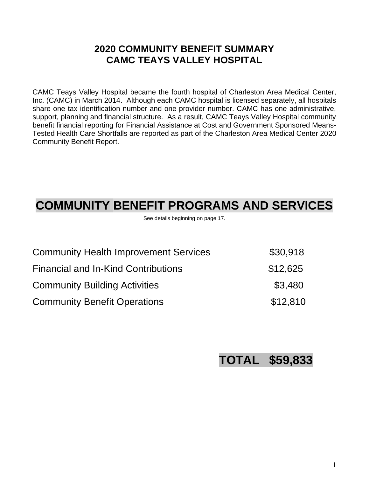# **2020 COMMUNITY BENEFIT SUMMARY CAMC TEAYS VALLEY HOSPITAL**

CAMC Teays Valley Hospital became the fourth hospital of Charleston Area Medical Center, Inc. (CAMC) in March 2014. Although each CAMC hospital is licensed separately, all hospitals share one tax identification number and one provider number. CAMC has one administrative, support, planning and financial structure. As a result, CAMC Teays Valley Hospital community benefit financial reporting for Financial Assistance at Cost and Government Sponsored Means-Tested Health Care Shortfalls are reported as part of the Charleston Area Medical Center 2020 Community Benefit Report.

# **COMMUNITY BENEFIT PROGRAMS AND SERVICES**

See details beginning on page 17.

| <b>Community Health Improvement Services</b> | \$30,918 |
|----------------------------------------------|----------|
| <b>Financial and In-Kind Contributions</b>   | \$12,625 |
| <b>Community Building Activities</b>         | \$3,480  |
| <b>Community Benefit Operations</b>          | \$12,810 |

# **TOTAL \$59,833**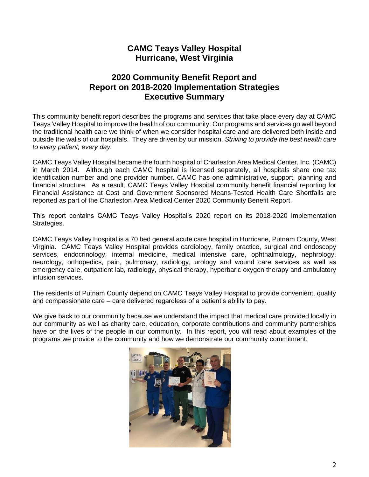# **CAMC Teays Valley Hospital Hurricane, West Virginia**

# **2020 Community Benefit Report and Report on 2018-2020 Implementation Strategies Executive Summary**

This community benefit report describes the programs and services that take place every day at CAMC Teays Valley Hospital to improve the health of our community. Our programs and services go well beyond the traditional health care we think of when we consider hospital care and are delivered both inside and outside the walls of our hospitals. They are driven by our mission, *Striving to provide the best health care to every patient, every day.* 

CAMC Teays Valley Hospital became the fourth hospital of Charleston Area Medical Center, Inc. (CAMC) in March 2014. Although each CAMC hospital is licensed separately, all hospitals share one tax identification number and one provider number. CAMC has one administrative, support, planning and financial structure. As a result, CAMC Teays Valley Hospital community benefit financial reporting for Financial Assistance at Cost and Government Sponsored Means-Tested Health Care Shortfalls are reported as part of the Charleston Area Medical Center 2020 Community Benefit Report.

This report contains CAMC Teays Valley Hospital's 2020 report on its 2018-2020 Implementation Strategies.

CAMC Teays Valley Hospital is a 70 bed general acute care hospital in Hurricane, Putnam County, West Virginia. CAMC Teays Valley Hospital provides cardiology, family practice, surgical and endoscopy services, endocrinology, internal medicine, medical intensive care, ophthalmology, nephrology, neurology, orthopedics, pain, pulmonary, radiology, urology and wound care services as well as emergency care, outpatient lab, radiology, physical therapy, hyperbaric oxygen therapy and ambulatory infusion services.

The residents of Putnam County depend on CAMC Teays Valley Hospital to provide convenient, quality and compassionate care – care delivered regardless of a patient's ability to pay.

We give back to our community because we understand the impact that medical care provided locally in our community as well as charity care, education, corporate contributions and community partnerships have on the lives of the people in our community. In this report, you will read about examples of the programs we provide to the community and how we demonstrate our community commitment.

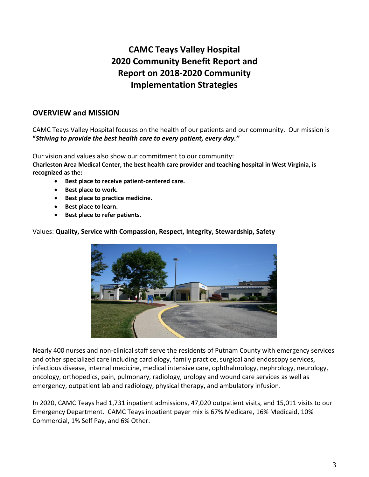# **CAMC Teays Valley Hospital 2020 Community Benefit Report and Report on 2018-2020 Community Implementation Strategies**

### **OVERVIEW and MISSION**

CAMC Teays Valley Hospital focuses on the health of our patients and our community. Our mission is **"***Striving to provide the best health care to every patient, every day."*

Our vision and values also show our commitment to our community: **Charleston Area Medical Center, the best health care provider and teaching hospital in West Virginia, is recognized as the:**

- **Best place to receive patient-centered care.**
- **Best place to work.**
- **Best place to practice medicine.**
- **Best place to learn.**
- **Best place to refer patients.**

Values: **Quality, Service with Compassion, Respect, Integrity, Stewardship, Safety** 



Nearly 400 nurses and non-clinical staff serve the residents of Putnam County with emergency services and other specialized care including cardiology, family practice, surgical and endoscopy services, infectious disease, internal medicine, medical intensive care, ophthalmology, nephrology, neurology, oncology, orthopedics, pain, pulmonary, radiology, urology and wound care services as well as emergency, outpatient lab and radiology, physical therapy, and ambulatory infusion.

In 2020, CAMC Teays had 1,731 inpatient admissions, 47,020 outpatient visits, and 15,011 visits to our Emergency Department. CAMC Teays inpatient payer mix is 67% Medicare, 16% Medicaid, 10% Commercial, 1% Self Pay, and 6% Other.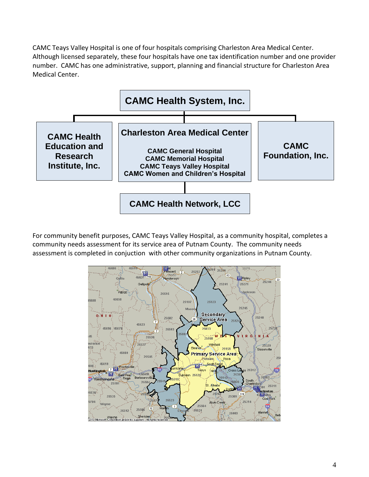CAMC Teays Valley Hospital is one of four hospitals comprising Charleston Area Medical Center. Although licensed separately, these four hospitals have one tax identification number and one provider number. CAMC has one administrative, support, planning and financial structure for Charleston Area Medical Center.



For community benefit purposes, CAMC Teays Valley Hospital, as a community hospital, completes a community needs assessment for its service area of Putnam County. The community needs assessment is completed in conjuction with other community organizations in Putnam County.

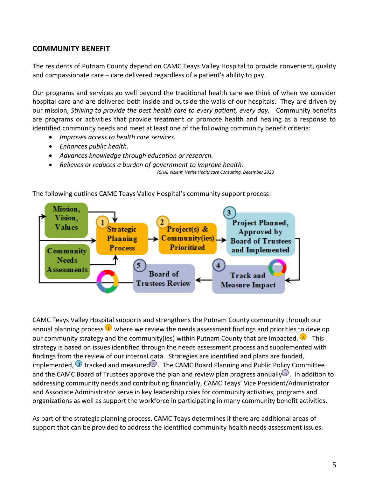### **COMMUNITY BENEFIT**

The residents of Putnam County depend on CAMC Teays Valley Hospital to provide convenient, quality and compassionate care – care delivered regardless of a patient's ability to pay.

Our programs and services go well beyond the traditional health care we think of when we consider hospital care and are delivered both inside and outside the walls of our hospitals. They are driven by our mission, *Striving to provide the best health care to every patient, every day.* Community benefits are programs or activities that provide treatment or promote health and healing as a response to identified community needs and meet at least one of the following community benefit criteria:

- *Improves access to health care services.*
- *Enhances public health.*
- *Advances knowledge through education or research.*
- *Relieves or reduces a burden of government to improve health.*

 *(CHA, Vizient, Verite Healthcare Consulting, December 2020*





CAMC Teays Valley Hospital supports and strengthens the Putnam County community through our annual planning process  $\mathbf{U}$  where we review the needs assessment findings and priorities to develop our community strategy and the community(ies) within Putnam County that are impacted. <sup>2</sup> This strategy is based on issues identified through the needs assessment process and supplemented with findings from the review of our internal data. Strategies are identified and plans are funded, implemented,  $\overline{3}$  tracked and measured $\overline{4}$ . The CAMC Board Planning and Public Policy Committee and the CAMC Board of Trustees approve the plan and review plan progress annually  $\mathbb{S}$ . In addition to addressing community needs and contributing financially, CAMC Teays' Vice President/Administrator and Associate Administrator serve in key leadership roles for community activities, programs and organizations as well as support the workforce in participating in many community benefit activities.

As part of the strategic planning process, CAMC Teays determines if there are additional areas of support that can be provided to address the identified community health needs assessment issues.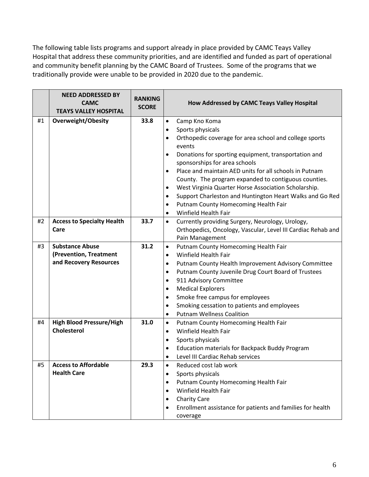The following table lists programs and support already in place provided by CAMC Teays Valley Hospital that address these community priorities, and are identified and funded as part of operational and community benefit planning by the CAMC Board of Trustees. Some of the programs that we traditionally provide were unable to be provided in 2020 due to the pandemic.

|    | <b>NEED ADDRESSED BY</b><br><b>CAMC</b><br><b>TEAYS VALLEY HOSPITAL</b> | <b>RANKING</b><br><b>SCORE</b> | How Addressed by CAMC Teays Valley Hospital                                                |
|----|-------------------------------------------------------------------------|--------------------------------|--------------------------------------------------------------------------------------------|
| #1 | <b>Overweight/Obesity</b>                                               | 33.8                           | Camp Kno Koma<br>$\bullet$                                                                 |
|    |                                                                         |                                | Sports physicals<br>$\bullet$                                                              |
|    |                                                                         |                                | Orthopedic coverage for area school and college sports<br>$\bullet$<br>events              |
|    |                                                                         |                                | Donations for sporting equipment, transportation and<br>٠<br>sponsorships for area schools |
|    |                                                                         |                                | Place and maintain AED units for all schools in Putnam<br>$\bullet$                        |
|    |                                                                         |                                | County. The program expanded to contiguous counties.                                       |
|    |                                                                         |                                | West Virginia Quarter Horse Association Scholarship.<br>٠                                  |
|    |                                                                         |                                | Support Charleston and Huntington Heart Walks and Go Red<br>$\bullet$                      |
|    |                                                                         |                                | Putnam County Homecoming Health Fair<br>٠                                                  |
|    |                                                                         |                                | Winfield Health Fair<br>٠                                                                  |
| #2 | <b>Access to Specialty Health</b>                                       | 33.7                           | Currently providing Surgery, Neurology, Urology,<br>$\bullet$                              |
|    | Care                                                                    |                                | Orthopedics, Oncology, Vascular, Level III Cardiac Rehab and                               |
|    |                                                                         |                                | Pain Management                                                                            |
| #3 | <b>Substance Abuse</b>                                                  | 31.2                           | Putnam County Homecoming Health Fair<br>$\bullet$                                          |
|    | (Prevention, Treatment                                                  |                                | Winfield Health Fair<br>$\bullet$                                                          |
|    | and Recovery Resources                                                  |                                | Putnam County Health Improvement Advisory Committee<br>$\bullet$                           |
|    |                                                                         |                                | Putnam County Juvenile Drug Court Board of Trustees<br>$\bullet$                           |
|    |                                                                         |                                | 911 Advisory Committee<br>$\bullet$                                                        |
|    |                                                                         |                                | <b>Medical Explorers</b><br>$\bullet$                                                      |
|    |                                                                         |                                | Smoke free campus for employees<br>$\bullet$                                               |
|    |                                                                         |                                | Smoking cessation to patients and employees<br>٠                                           |
|    |                                                                         |                                | <b>Putnam Wellness Coalition</b><br>٠                                                      |
| #4 | <b>High Blood Pressure/High</b>                                         | 31.0                           | Putnam County Homecoming Health Fair<br>$\bullet$                                          |
|    | <b>Cholesterol</b>                                                      |                                | Winfield Health Fair<br>$\bullet$                                                          |
|    |                                                                         |                                | Sports physicals<br>$\bullet$                                                              |
|    |                                                                         |                                | Education materials for Backpack Buddy Program                                             |
|    | <b>Access to Affordable</b>                                             |                                | Level III Cardiac Rehab services                                                           |
| #5 | <b>Health Care</b>                                                      | 29.3                           | Reduced cost lab work<br>$\bullet$                                                         |
|    |                                                                         |                                | Sports physicals<br>$\bullet$<br>Putnam County Homecoming Health Fair                      |
|    |                                                                         |                                | $\bullet$<br>Winfield Health Fair<br>$\bullet$                                             |
|    |                                                                         |                                | <b>Charity Care</b><br>$\bullet$                                                           |
|    |                                                                         |                                | Enrollment assistance for patients and families for health<br>$\bullet$                    |
|    |                                                                         |                                | coverage                                                                                   |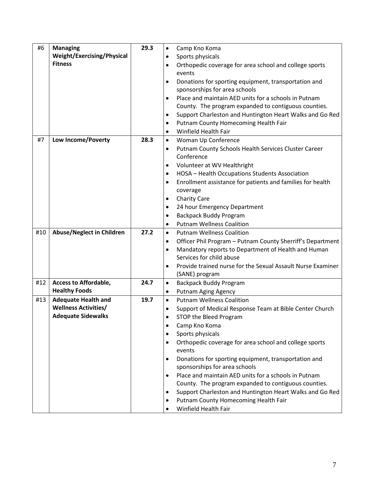| #6  | <b>Managing</b>                  | 29.3 | $\bullet$ | Camp Kno Koma                                               |
|-----|----------------------------------|------|-----------|-------------------------------------------------------------|
|     | Weight/Exercising/Physical       |      | $\bullet$ | Sports physicals                                            |
|     | <b>Fitness</b>                   |      | $\bullet$ | Orthopedic coverage for area school and college sports      |
|     |                                  |      |           | events                                                      |
|     |                                  |      | $\bullet$ | Donations for sporting equipment, transportation and        |
|     |                                  |      |           | sponsorships for area schools                               |
|     |                                  |      | $\bullet$ | Place and maintain AED units for a schools in Putnam        |
|     |                                  |      |           | County. The program expanded to contiguous counties.        |
|     |                                  |      | $\bullet$ | Support Charleston and Huntington Heart Walks and Go Red    |
|     |                                  |      | $\bullet$ | Putnam County Homecoming Health Fair                        |
|     |                                  |      | $\bullet$ | <b>Winfield Health Fair</b>                                 |
| #7  | Low Income/Poverty               | 28.3 | $\bullet$ | Woman Up Conference                                         |
|     |                                  |      | $\bullet$ | Putnam County Schools Health Services Cluster Career        |
|     |                                  |      |           | Conference                                                  |
|     |                                  |      | $\bullet$ | Volunteer at WV Healthright                                 |
|     |                                  |      | $\bullet$ | HOSA - Health Occupations Students Association              |
|     |                                  |      | $\bullet$ | Enrollment assistance for patients and families for health  |
|     |                                  |      |           | coverage                                                    |
|     |                                  |      | $\bullet$ | <b>Charity Care</b>                                         |
|     |                                  |      | $\bullet$ | 24 hour Emergency Department                                |
|     |                                  |      | $\bullet$ | <b>Backpack Buddy Program</b>                               |
|     |                                  |      | ٠         | <b>Putnam Wellness Coalition</b>                            |
| #10 | <b>Abuse/Neglect in Children</b> | 27.2 | $\bullet$ | <b>Putnam Wellness Coalition</b>                            |
|     |                                  |      | $\bullet$ | Officer Phil Program - Putnam County Sherriff's Department  |
|     |                                  |      | $\bullet$ | Mandatory reports to Department of Health and Human         |
|     |                                  |      |           | Services for child abuse                                    |
|     |                                  |      | $\bullet$ | Provide trained nurse for the Sexual Assault Nurse Examiner |
|     |                                  |      |           | (SANE) program                                              |
| #12 | <b>Access to Affordable,</b>     | 24.7 | $\bullet$ | <b>Backpack Buddy Program</b>                               |
|     | <b>Healthy Foods</b>             |      | $\bullet$ | <b>Putnam Aging Agency</b>                                  |
| #13 | <b>Adequate Health and</b>       | 19.7 | $\bullet$ | <b>Putnam Wellness Coalition</b>                            |
|     | <b>Wellness Activities/</b>      |      | $\bullet$ | Support of Medical Response Team at Bible Center Church     |
|     | <b>Adequate Sidewalks</b>        |      | $\bullet$ | STOP the Bleed Program                                      |
|     |                                  |      | $\bullet$ | Camp Kno Koma                                               |
|     |                                  |      | $\bullet$ | Sports physicals                                            |
|     |                                  |      | $\bullet$ | Orthopedic coverage for area school and college sports      |
|     |                                  |      |           | events                                                      |
|     |                                  |      | $\bullet$ | Donations for sporting equipment, transportation and        |
|     |                                  |      |           | sponsorships for area schools                               |
|     |                                  |      | $\bullet$ | Place and maintain AED units for a schools in Putnam        |
|     |                                  |      |           | County. The program expanded to contiguous counties.        |
|     |                                  |      | $\bullet$ | Support Charleston and Huntington Heart Walks and Go Red    |
|     |                                  |      | $\bullet$ | Putnam County Homecoming Health Fair                        |
|     |                                  |      | $\bullet$ | Winfield Health Fair                                        |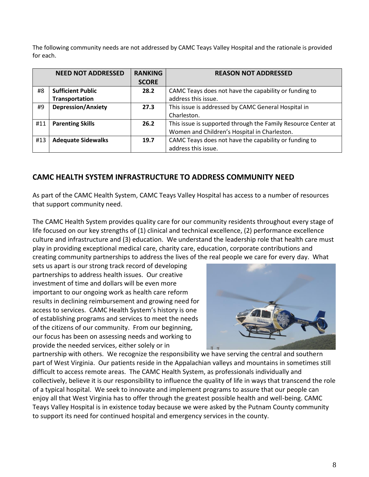The following community needs are not addressed by CAMC Teays Valley Hospital and the rationale is provided for each.

|     | <b>NEED NOT ADDRESSED</b> | <b>RANKING</b> | <b>REASON NOT ADDRESSED</b>                                   |
|-----|---------------------------|----------------|---------------------------------------------------------------|
|     |                           | <b>SCORE</b>   |                                                               |
| #8  | <b>Sufficient Public</b>  | 28.2           | CAMC Teays does not have the capability or funding to         |
|     | Transportation            |                | address this issue.                                           |
| #9  | <b>Depression/Anxiety</b> | 27.3           | This issue is addressed by CAMC General Hospital in           |
|     |                           |                | Charleston.                                                   |
| #11 | <b>Parenting Skills</b>   | 26.2           | This issue is supported through the Family Resource Center at |
|     |                           |                | Women and Children's Hospital in Charleston.                  |
| #13 | <b>Adequate Sidewalks</b> | 19.7           | CAMC Teays does not have the capability or funding to         |
|     |                           |                | address this issue.                                           |

### **CAMC HEALTH SYSTEM INFRASTRUCTURE TO ADDRESS COMMUNITY NEED**

As part of the CAMC Health System, CAMC Teays Valley Hospital has access to a number of resources that support community need.

The CAMC Health System provides quality care for our community residents throughout every stage of life focused on our key strengths of (1) clinical and technical excellence, (2) performance excellence culture and infrastructure and (3) education. We understand the leadership role that health care must play in providing exceptional medical care, charity care, education, corporate contributions and creating community partnerships to address the lives of the real people we care for every day. What

sets us apart is our strong track record of developing partnerships to address health issues. Our creative investment of time and dollars will be even more important to our ongoing work as health care reform results in declining reimbursement and growing need for access to services. CAMC Health System's history is one of establishing programs and services to meet the needs of the citizens of our community. From our beginning, our focus has been on assessing needs and working to provide the needed services, either solely or in



partnership with others. We recognize the responsibility we have serving the central and southern part of West Virginia. Our patients reside in the Appalachian valleys and mountains in sometimes still difficult to access remote areas. The CAMC Health System, as professionals individually and collectively, believe it is our responsibility to influence the quality of life in ways that transcend the role of a typical hospital. We seek to innovate and implement programs to assure that our people can enjoy all that West Virginia has to offer through the greatest possible health and well-being. CAMC Teays Valley Hospital is in existence today because we were asked by the Putnam County community to support its need for continued hospital and emergency services in the county.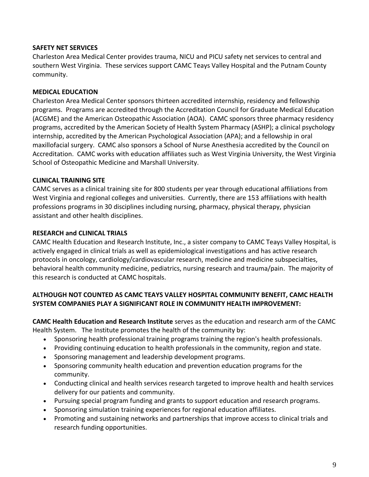### **SAFETY NET SERVICES**

Charleston Area Medical Center provides trauma, NICU and PICU safety net services to central and southern West Virginia. These services support CAMC Teays Valley Hospital and the Putnam County community.

### **MEDICAL EDUCATION**

Charleston Area Medical Center sponsors thirteen accredited internship, residency and fellowship programs. Programs are accredited through the Accreditation Council for Graduate Medical Education (ACGME) and the American Osteopathic Association (AOA). CAMC sponsors three pharmacy residency programs, accredited by the American Society of Health System Pharmacy (ASHP); a clinical psychology internship, accredited by the American Psychological Association (APA); and a fellowship in oral maxillofacial surgery. CAMC also sponsors a School of Nurse Anesthesia accredited by the Council on Accreditation. CAMC works with education affiliates such as West Virginia University, the West Virginia School of Osteopathic Medicine and Marshall University.

### **CLINICAL TRAINING SITE**

CAMC serves as a clinical training site for 800 students per year through educational affiliations from West Virginia and regional colleges and universities. Currently, there are 153 affiliations with health professions programs in 30 disciplines including nursing, pharmacy, physical therapy, physician assistant and other health disciplines.

### **RESEARCH and CLINICAL TRIALS**

CAMC Health Education and Research Institute, Inc., a sister company to CAMC Teays Valley Hospital, is actively engaged in clinical trials as well as epidemiological investigations and has active research protocols in oncology, cardiology/cardiovascular research, medicine and medicine subspecialties, behavioral health community medicine, pediatrics, nursing research and trauma/pain. The majority of this research is conducted at CAMC hospitals.

### **ALTHOUGH NOT COUNTED AS CAMC TEAYS VALLEY HOSPITAL COMMUNITY BENEFIT, CAMC HEALTH SYSTEM COMPANIES PLAY A SIGNIFICANT ROLE IN COMMUNITY HEALTH IMPROVEMENT:**

**CAMC Health Education and Research Institute** serves as the education and research arm of the CAMC Health System. The Institute promotes the health of the community by:

- Sponsoring health professional training programs training the region's health professionals.
- Providing continuing education to health professionals in the community, region and state.
- Sponsoring management and leadership development programs.
- Sponsoring community health education and prevention education programs for the community.
- Conducting clinical and health services research targeted to improve health and health services delivery for our patients and community.
- Pursuing special program funding and grants to support education and research programs.
- Sponsoring simulation training experiences for regional education affiliates.
- Promoting and sustaining networks and partnerships that improve access to clinical trials and research funding opportunities.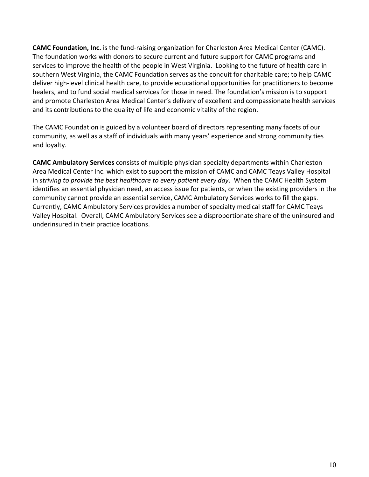**CAMC Foundation, Inc.** is the fund-raising organization for Charleston Area Medical Center (CAMC). The foundation works with donors to secure current and future support for CAMC programs and services to improve the health of the people in West Virginia. Looking to the future of health care in southern West Virginia, the CAMC Foundation serves as the conduit for charitable care; to help CAMC deliver high-level clinical health care, to provide educational opportunities for practitioners to become healers, and to fund social medical services for those in need. The foundation's mission is to support and promote Charleston Area Medical Center's delivery of excellent and compassionate health services and its contributions to the quality of life and economic vitality of the region.

The CAMC Foundation is guided by a volunteer board of directors representing many facets of our community, as well as a staff of individuals with many years' experience and strong community ties and loyalty.

**CAMC Ambulatory Services** consists of multiple physician specialty departments within Charleston Area Medical Center Inc. which exist to support the mission of CAMC and CAMC Teays Valley Hospital in *striving to provide the best healthcare to every patient every day*. When the CAMC Health System identifies an essential physician need, an access issue for patients, or when the existing providers in the community cannot provide an essential service, CAMC Ambulatory Services works to fill the gaps. Currently, CAMC Ambulatory Services provides a number of specialty medical staff for CAMC Teays Valley Hospital. Overall, CAMC Ambulatory Services see a disproportionate share of the uninsured and underinsured in their practice locations.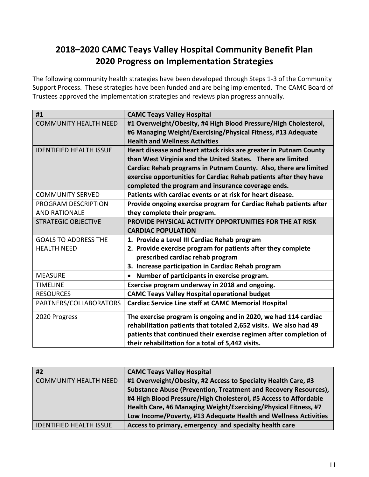# **2018–2020 CAMC Teays Valley Hospital Community Benefit Plan 2020 Progress on Implementation Strategies**

The following community health strategies have been developed through Steps 1-3 of the Community Support Process. These strategies have been funded and are being implemented. The CAMC Board of Trustees approved the implementation strategies and reviews plan progress annually.

| #1                             | <b>CAMC Teays Valley Hospital</b>                                  |
|--------------------------------|--------------------------------------------------------------------|
| <b>COMMUNITY HEALTH NEED</b>   | #1 Overweight/Obesity, #4 High Blood Pressure/High Cholesterol,    |
|                                | #6 Managing Weight/Exercising/Physical Fitness, #13 Adequate       |
|                                | <b>Health and Wellness Activities</b>                              |
| <b>IDENTIFIED HEALTH ISSUE</b> | Heart disease and heart attack risks are greater in Putnam County  |
|                                | than West Virginia and the United States. There are limited        |
|                                | Cardiac Rehab programs in Putnam County. Also, there are limited   |
|                                | exercise opportunities for Cardiac Rehab patients after they have  |
|                                | completed the program and insurance coverage ends.                 |
| <b>COMMUNITY SERVED</b>        | Patients with cardiac events or at risk for heart disease.         |
| PROGRAM DESCRIPTION            | Provide ongoing exercise program for Cardiac Rehab patients after  |
| <b>AND RATIONALE</b>           | they complete their program.                                       |
| <b>STRATEGIC OBJECTIVE</b>     | PROVIDE PHYSICAL ACTIVITY OPPORTUNITIES FOR THE AT RISK            |
|                                | <b>CARDIAC POPULATION</b>                                          |
| <b>GOALS TO ADDRESS THE</b>    | 1. Provide a Level III Cardiac Rehab program                       |
| <b>HEALTH NEED</b>             | 2. Provide exercise program for patients after they complete       |
|                                | prescribed cardiac rehab program                                   |
|                                | 3. Increase participation in Cardiac Rehab program                 |
| <b>MEASURE</b>                 | Number of participants in exercise program.                        |
| <b>TIMELINE</b>                | Exercise program underway in 2018 and ongoing.                     |
| <b>RESOURCES</b>               | <b>CAMC Teays Valley Hospital operational budget</b>               |
| PARTNERS/COLLABORATORS         | <b>Cardiac Service Line staff at CAMC Memorial Hospital</b>        |
| 2020 Progress                  | The exercise program is ongoing and in 2020, we had 114 cardiac    |
|                                | rehabilitation patients that totaled 2,652 visits. We also had 49  |
|                                | patients that continued their exercise regimen after completion of |
|                                | their rehabilitation for a total of 5,442 visits.                  |

| #2                             | <b>CAMC Teays Valley Hospital</b>                                |
|--------------------------------|------------------------------------------------------------------|
| <b>COMMUNITY HEALTH NEED</b>   | #1 Overweight/Obesity, #2 Access to Specialty Health Care, #3    |
|                                | Substance Abuse (Prevention, Treatment and Recovery Resources),  |
|                                | #4 High Blood Pressure/High Cholesterol, #5 Access to Affordable |
|                                | Health Care, #6 Managing Weight/Exercising/Physical Fitness, #7  |
|                                | Low Income/Poverty, #13 Adequate Health and Wellness Activities  |
| <b>IDENTIFIED HEALTH ISSUE</b> | Access to primary, emergency and specialty health care           |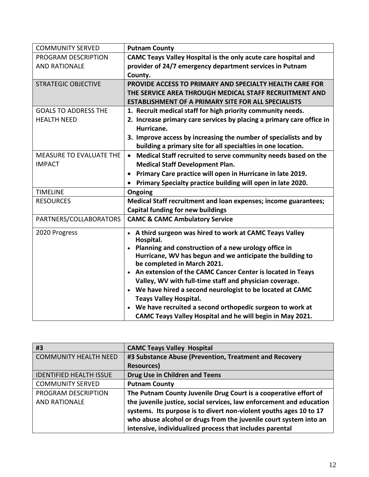| <b>COMMUNITY SERVED</b>     | <b>Putnam County</b>                                                       |
|-----------------------------|----------------------------------------------------------------------------|
| PROGRAM DESCRIPTION         | CAMC Teays Valley Hospital is the only acute care hospital and             |
| <b>AND RATIONALE</b>        | provider of 24/7 emergency department services in Putnam                   |
|                             | County.                                                                    |
| <b>STRATEGIC OBJECTIVE</b>  | PROVIDE ACCESS TO PRIMARY AND SPECIALTY HEALTH CARE FOR                    |
|                             | THE SERVICE AREA THROUGH MEDICAL STAFF RECRUITMENT AND                     |
|                             | <b>ESTABLISHMENT OF A PRIMARY SITE FOR ALL SPECIALISTS</b>                 |
| <b>GOALS TO ADDRESS THE</b> | 1. Recruit medical staff for high priority community needs.                |
| <b>HEALTH NEED</b>          | 2. Increase primary care services by placing a primary care office in      |
|                             | Hurricane.                                                                 |
|                             | 3. Improve access by increasing the number of specialists and by           |
|                             | building a primary site for all specialties in one location.               |
| MEASURE TO EVALUATE THE     | Medical Staff recruited to serve community needs based on the<br>$\bullet$ |
| <b>IMPACT</b>               | <b>Medical Staff Development Plan.</b>                                     |
|                             | Primary Care practice will open in Hurricane in late 2019.                 |
|                             | Primary Specialty practice building will open in late 2020.                |
| <b>TIMELINE</b>             | Ongoing                                                                    |
| <b>RESOURCES</b>            | Medical Staff recruitment and loan expenses; income guarantees;            |
|                             | <b>Capital funding for new buildings</b>                                   |
| PARTNERS/COLLABORATORS      | <b>CAMC &amp; CAMC Ambulatory Service</b>                                  |
| 2020 Progress               | • A third surgeon was hired to work at CAMC Teays Valley<br>Hospital.      |
|                             | Planning and construction of a new urology office in                       |
|                             | Hurricane, WV has begun and we anticipate the building to                  |
|                             | be completed in March 2021.                                                |
|                             | • An extension of the CAMC Cancer Center is located in Teays               |
|                             | Valley, WV with full-time staff and physician coverage.                    |
|                             | • We have hired a second neurologist to be located at CAMC                 |
|                             | <b>Teays Valley Hospital.</b>                                              |
|                             | We have recruited a second orthopedic surgeon to work at                   |
|                             | CAMC Teays Valley Hospital and he will begin in May 2021.                  |

| #3                             | <b>CAMC Teays Valley Hospital</b>                                    |
|--------------------------------|----------------------------------------------------------------------|
| <b>COMMUNITY HEALTH NEED</b>   | #3 Substance Abuse (Prevention, Treatment and Recovery               |
|                                | <b>Resources</b> )                                                   |
| <b>IDENTIFIED HEALTH ISSUE</b> | <b>Drug Use in Children and Teens</b>                                |
| <b>COMMUNITY SERVED</b>        | <b>Putnam County</b>                                                 |
| PROGRAM DESCRIPTION            | The Putnam County Juvenile Drug Court is a cooperative effort of     |
| <b>AND RATIONALE</b>           | the juvenile justice, social services, law enforcement and education |
|                                | systems. Its purpose is to divert non-violent youths ages 10 to 17   |
|                                | who abuse alcohol or drugs from the juvenile court system into an    |
|                                | intensive, individualized process that includes parental             |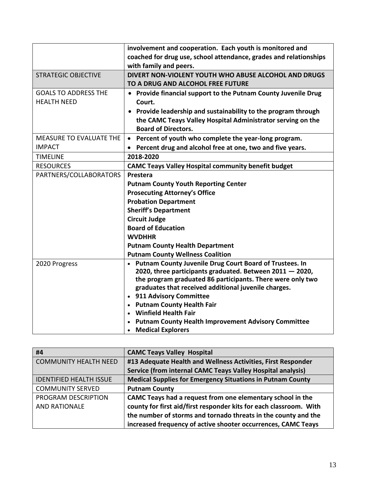|                                | involvement and cooperation. Each youth is monitored and             |
|--------------------------------|----------------------------------------------------------------------|
|                                | coached for drug use, school attendance, grades and relationships    |
|                                | with family and peers.                                               |
| <b>STRATEGIC OBJECTIVE</b>     | DIVERT NON-VIOLENT YOUTH WHO ABUSE ALCOHOL AND DRUGS                 |
|                                | TO A DRUG AND ALCOHOL FREE FUTURE                                    |
|                                |                                                                      |
| <b>GOALS TO ADDRESS THE</b>    | • Provide financial support to the Putnam County Juvenile Drug       |
| <b>HEALTH NEED</b>             | Court.                                                               |
|                                | • Provide leadership and sustainability to the program through       |
|                                | the CAMC Teays Valley Hospital Administrator serving on the          |
|                                | <b>Board of Directors.</b>                                           |
| <b>MEASURE TO EVALUATE THE</b> | • Percent of youth who complete the year-long program.               |
| <b>IMPACT</b>                  | Percent drug and alcohol free at one, two and five years.            |
| <b>TIMELINE</b>                | 2018-2020                                                            |
| <b>RESOURCES</b>               | <b>CAMC Teays Valley Hospital community benefit budget</b>           |
| PARTNERS/COLLABORATORS         | Prestera                                                             |
|                                | <b>Putnam County Youth Reporting Center</b>                          |
|                                | <b>Prosecuting Attorney's Office</b>                                 |
|                                | <b>Probation Department</b>                                          |
|                                | <b>Sheriff's Department</b>                                          |
|                                | <b>Circuit Judge</b>                                                 |
|                                | <b>Board of Education</b>                                            |
|                                | <b>WVDHHR</b>                                                        |
|                                | <b>Putnam County Health Department</b>                               |
|                                | <b>Putnam County Wellness Coalition</b>                              |
| 2020 Progress                  | Putnam County Juvenile Drug Court Board of Trustees. In<br>$\bullet$ |
|                                | 2020, three participants graduated. Between $2011 - 2020$ ,          |
|                                | the program graduated 86 participants. There were only two           |
|                                | graduates that received additional juvenile charges.                 |
|                                | • 911 Advisory Committee                                             |
|                                | • Putnam County Health Fair                                          |
|                                | • Winfield Health Fair                                               |
|                                | <b>Putnam County Health Improvement Advisory Committee</b>           |
|                                | <b>Medical Explorers</b>                                             |

| #4                             | <b>CAMC Teays Valley Hospital</b>                                  |
|--------------------------------|--------------------------------------------------------------------|
| <b>COMMUNITY HEALTH NEED</b>   | #13 Adequate Health and Wellness Activities, First Responder       |
|                                | Service (from internal CAMC Teays Valley Hospital analysis)        |
| <b>IDENTIFIED HEALTH ISSUE</b> | <b>Medical Supplies for Emergency Situations in Putnam County</b>  |
| <b>COMMUNITY SERVED</b>        | <b>Putnam County</b>                                               |
| PROGRAM DESCRIPTION            | CAMC Teays had a request from one elementary school in the         |
| <b>AND RATIONALE</b>           | county for first aid/first responder kits for each classroom. With |
|                                | the number of storms and tornado threats in the county and the     |
|                                | increased frequency of active shooter occurrences, CAMC Teays      |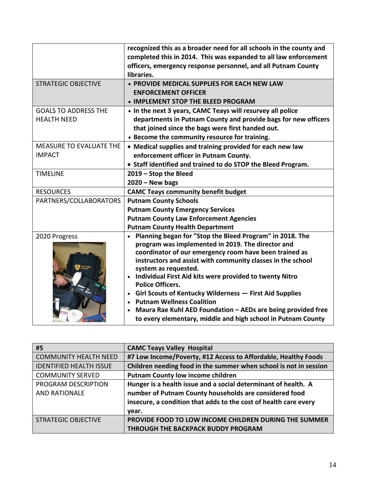|                                | recognized this as a broader need for all schools in the county and<br>completed this in 2014. This was expanded to all law enforcement<br>officers, emergency response personnel, and all Putnam County<br>libraries. |
|--------------------------------|------------------------------------------------------------------------------------------------------------------------------------------------------------------------------------------------------------------------|
| <b>STRATEGIC OBJECTIVE</b>     | • PROVIDE MEDICAL SUPPLIES FOR EACH NEW LAW                                                                                                                                                                            |
|                                | <b>ENFORCEMENT OFFICER</b>                                                                                                                                                                                             |
|                                | • IMPLEMENT STOP THE BLEED PROGRAM                                                                                                                                                                                     |
| <b>GOALS TO ADDRESS THE</b>    | • In the next 3 years, CAMC Teays will resurvey all police                                                                                                                                                             |
| <b>HEALTH NEED</b>             | departments in Putnam County and provide bags for new officers                                                                                                                                                         |
|                                | that joined since the bags were first handed out.                                                                                                                                                                      |
|                                | • Become the community resource for training.                                                                                                                                                                          |
| <b>MEASURE TO EVALUATE THE</b> | • Medical supplies and training provided for each new law                                                                                                                                                              |
| <b>IMPACT</b>                  | enforcement officer in Putnam County.                                                                                                                                                                                  |
|                                | • Staff identified and trained to do STOP the Bleed Program.                                                                                                                                                           |
| <b>TIMELINE</b>                | 2019 - Stop the Bleed                                                                                                                                                                                                  |
|                                | $2020 - New bags$                                                                                                                                                                                                      |
| <b>RESOURCES</b>               | <b>CAMC Teays community benefit budget</b>                                                                                                                                                                             |
| PARTNERS/COLLABORATORS         | <b>Putnam County Schools</b>                                                                                                                                                                                           |
|                                | <b>Putnam County Emergency Services</b>                                                                                                                                                                                |
|                                | <b>Putnam County Law Enforcement Agencies</b>                                                                                                                                                                          |
|                                | <b>Putnam County Health Department</b>                                                                                                                                                                                 |
| 2020 Progress                  | • Planning began for "Stop the Bleed Program" in 2018. The                                                                                                                                                             |
|                                | program was implemented in 2019. The director and                                                                                                                                                                      |
|                                | coordinator of our emergency room have been trained as                                                                                                                                                                 |
|                                | instructors and assist with community classes in the school<br>system as requested.                                                                                                                                    |
|                                | • Individual First Aid kits were provided to twenty Nitro                                                                                                                                                              |
|                                | <b>Police Officers.</b>                                                                                                                                                                                                |
|                                | Girl Scouts of Kentucky Wilderness - First Aid Supplies                                                                                                                                                                |
|                                | <b>Putnam Wellness Coalition</b><br>$\bullet$                                                                                                                                                                          |
|                                | Maura Rae Kuhl AED Foundation - AEDs are being provided free<br>$\bullet$                                                                                                                                              |
|                                | to every elementary, middle and high school in Putnam County                                                                                                                                                           |

| #5                             | <b>CAMC Teays Valley Hospital</b>                                 |
|--------------------------------|-------------------------------------------------------------------|
| <b>COMMUNITY HEALTH NEED</b>   | #7 Low Income/Poverty, #12 Access to Affordable, Healthy Foods    |
| <b>IDENTIFIED HEALTH ISSUE</b> | Children needing food in the summer when school is not in session |
| <b>COMMUNITY SERVED</b>        | <b>Putnam County low income children</b>                          |
| PROGRAM DESCRIPTION            | Hunger is a health issue and a social determinant of health. A    |
| <b>AND RATIONALE</b>           | number of Putnam County households are considered food            |
|                                | insecure, a condition that adds to the cost of health care every  |
|                                | year.                                                             |
| <b>STRATEGIC OBJECTIVE</b>     | PROVIDE FOOD TO LOW INCOME CHILDREN DURING THE SUMMER             |
|                                | <b>THROUGH THE BACKPACK BUDDY PROGRAM</b>                         |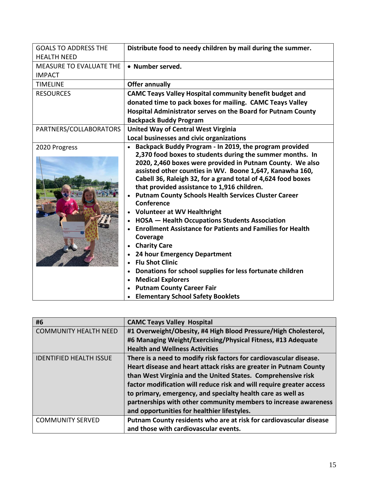| <b>GOALS TO ADDRESS THE</b>    | Distribute food to needy children by mail during the summer.      |
|--------------------------------|-------------------------------------------------------------------|
| <b>HEALTH NEED</b>             |                                                                   |
| <b>MEASURE TO EVALUATE THE</b> | • Number served.                                                  |
| <b>IMPACT</b>                  |                                                                   |
| <b>TIMELINE</b>                | <b>Offer annually</b>                                             |
| <b>RESOURCES</b>               | <b>CAMC Teays Valley Hospital community benefit budget and</b>    |
|                                | donated time to pack boxes for mailing. CAMC Teays Valley         |
|                                | Hospital Administrator serves on the Board for Putnam County      |
|                                | <b>Backpack Buddy Program</b>                                     |
| PARTNERS/COLLABORATORS         | <b>United Way of Central West Virginia</b>                        |
|                                | Local businesses and civic organizations                          |
| 2020 Progress                  | Backpack Buddy Program - In 2019, the program provided            |
|                                | 2,370 food boxes to students during the summer months. In         |
|                                | 2020, 2,460 boxes were provided in Putnam County. We also         |
|                                | assisted other counties in WV. Boone 1,647, Kanawha 160,          |
|                                | Cabell 36, Raleigh 32, for a grand total of 4,624 food boxes      |
|                                | that provided assistance to 1,916 children.                       |
|                                | <b>Putnam County Schools Health Services Cluster Career</b>       |
|                                | Conference                                                        |
|                                | <b>Volunteer at WV Healthright</b>                                |
|                                | <b>HOSA</b> - Health Occupations Students Association             |
|                                | <b>Enrollment Assistance for Patients and Families for Health</b> |
|                                | Coverage                                                          |
|                                | <b>Charity Care</b>                                               |
|                                | 24 hour Emergency Department                                      |
|                                | <b>Flu Shot Clinic</b>                                            |
|                                | Donations for school supplies for less fortunate children         |
|                                | <b>Medical Explorers</b><br>$\bullet$                             |
|                                | <b>Putnam County Career Fair</b>                                  |
|                                | <b>Elementary School Safety Booklets</b>                          |

| #6                             | <b>CAMC Teays Valley Hospital</b>                                    |
|--------------------------------|----------------------------------------------------------------------|
| <b>COMMUNITY HEALTH NEED</b>   | #1 Overweight/Obesity, #4 High Blood Pressure/High Cholesterol,      |
|                                | #6 Managing Weight/Exercising/Physical Fitness, #13 Adequate         |
|                                | <b>Health and Wellness Activities</b>                                |
| <b>IDENTIFIED HEALTH ISSUE</b> | There is a need to modify risk factors for cardiovascular disease.   |
|                                | Heart disease and heart attack risks are greater in Putnam County    |
|                                | than West Virginia and the United States. Comprehensive risk         |
|                                | factor modification will reduce risk and will require greater access |
|                                | to primary, emergency, and specialty health care as well as          |
|                                | partnerships with other community members to increase awareness      |
|                                | and opportunities for healthier lifestyles.                          |
| <b>COMMUNITY SERVED</b>        | Putnam County residents who are at risk for cardiovascular disease   |
|                                | and those with cardiovascular events.                                |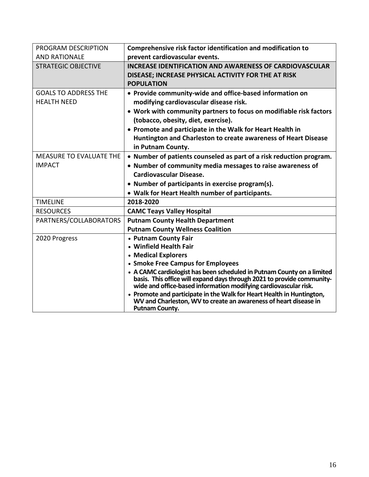| PROGRAM DESCRIPTION            | Comprehensive risk factor identification and modification to                                                                                                                                                         |
|--------------------------------|----------------------------------------------------------------------------------------------------------------------------------------------------------------------------------------------------------------------|
| <b>AND RATIONALE</b>           | prevent cardiovascular events.                                                                                                                                                                                       |
| <b>STRATEGIC OBJECTIVE</b>     | <b>INCREASE IDENTIFICATION AND AWARENESS OF CARDIOVASCULAR</b>                                                                                                                                                       |
|                                | DISEASE; INCREASE PHYSICAL ACTIVITY FOR THE AT RISK                                                                                                                                                                  |
|                                | <b>POPULATION</b>                                                                                                                                                                                                    |
| <b>GOALS TO ADDRESS THE</b>    | • Provide community-wide and office-based information on                                                                                                                                                             |
| <b>HEALTH NEED</b>             | modifying cardiovascular disease risk.                                                                                                                                                                               |
|                                | • Work with community partners to focus on modifiable risk factors                                                                                                                                                   |
|                                | (tobacco, obesity, diet, exercise).                                                                                                                                                                                  |
|                                | • Promote and participate in the Walk for Heart Health in                                                                                                                                                            |
|                                | Huntington and Charleston to create awareness of Heart Disease                                                                                                                                                       |
|                                | in Putnam County.                                                                                                                                                                                                    |
| <b>MEASURE TO EVALUATE THE</b> | • Number of patients counseled as part of a risk reduction program.                                                                                                                                                  |
| <b>IMPACT</b>                  | • Number of community media messages to raise awareness of                                                                                                                                                           |
|                                | <b>Cardiovascular Disease.</b>                                                                                                                                                                                       |
|                                | • Number of participants in exercise program(s).                                                                                                                                                                     |
|                                | • Walk for Heart Health number of participants.                                                                                                                                                                      |
| <b>TIMELINE</b>                | 2018-2020                                                                                                                                                                                                            |
| <b>RESOURCES</b>               | <b>CAMC Teays Valley Hospital</b>                                                                                                                                                                                    |
| PARTNERS/COLLABORATORS         | <b>Putnam County Health Department</b>                                                                                                                                                                               |
|                                | <b>Putnam County Wellness Coalition</b>                                                                                                                                                                              |
| 2020 Progress                  | • Putnam County Fair                                                                                                                                                                                                 |
|                                | • Winfield Health Fair                                                                                                                                                                                               |
|                                | • Medical Explorers                                                                                                                                                                                                  |
|                                | • Smoke Free Campus for Employees                                                                                                                                                                                    |
|                                | • A CAMC cardiologist has been scheduled in Putnam County on a limited<br>basis. This office will expand days through 2021 to provide community-<br>wide and office-based information modifying cardiovascular risk. |
|                                | • Promote and participate in the Walk for Heart Health in Huntington,<br>WV and Charleston, WV to create an awareness of heart disease in<br><b>Putnam County.</b>                                                   |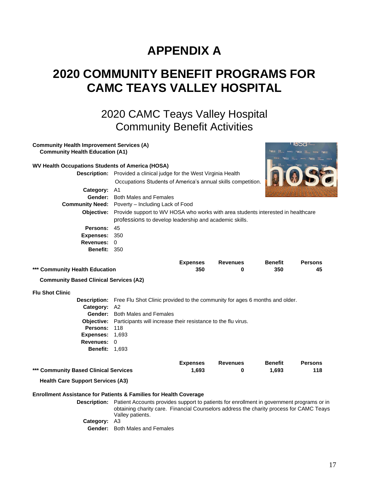# **APPENDIX A**

# **2020 COMMUNITY BENEFIT PROGRAMS FOR CAMC TEAYS VALLEY HOSPITAL**

2020 CAMC Teays Valley Hospital Community Benefit Activities

Occupations Students of America's annual skills competition.

**Description:** Provided a clinical judge for the West Virginia Health

**Community Health Improvement Services (A)**

**Community Health Education (A1)**

**WV Health Occupations Students of America (HOSA)**



|                      | Occupations Students of Afflenca's annual skills competition.<br><b>INGLES OF A CALCULATE AND A CALCULATE AND A</b>                        |
|----------------------|--------------------------------------------------------------------------------------------------------------------------------------------|
| Category: A1         |                                                                                                                                            |
|                      | <b>Gender:</b> Both Males and Females                                                                                                      |
|                      | <b>Community Need:</b> Poverty – Including Lack of Food                                                                                    |
| <b>Objective:</b>    | Provide support to WV HOSA who works with area students interested in healthcare<br>professions to develop leadership and academic skills. |
| Persons: 45          |                                                                                                                                            |
| <b>Expenses: 350</b> |                                                                                                                                            |
| Revenues: 0          |                                                                                                                                            |
| <b>Benefit: 350</b>  |                                                                                                                                            |
|                      |                                                                                                                                            |

|                                               | <b>Expenses</b> | <b>Revenues</b> | <b>Benefit</b> | <b>Persons</b> |
|-----------------------------------------------|-----------------|-----------------|----------------|----------------|
| *** Community Health Education                | 350             |                 | 350            | 45             |
| <b>Community Based Clinical Services (A2)</b> |                 |                 |                |                |

#### **Flu Shot Clinic**

**Description:** Free Flu Shot Clinic provided to the community for ages 6 months and older. **Category:** A2 **Gender:** Both Males and Females **Objective:** Participants will increase their resistance to the flu virus. Persons: 118 **Expenses:** 1,693 **Revenues:** 0 **Benefit:** 1,693

|                                       | <b>Expenses</b> | <b>Revenues</b> | <b>Benefit</b> | <b>Persons</b> |
|---------------------------------------|-----------------|-----------------|----------------|----------------|
| *** Community Based Clinical Services | 1.693           |                 | 1.693          | 118            |

**Health Care Support Services (A3)**

#### **Enrollment Assistance for Patients & Families for Health Coverage**

**Description:** Patient Accounts provides support to patients for enrollment in government programs or in obtaining charity care. Financial Counselors address the charity process for CAMC Teays Valley patients. **Category:** A3

**Gender:** Both Males and Females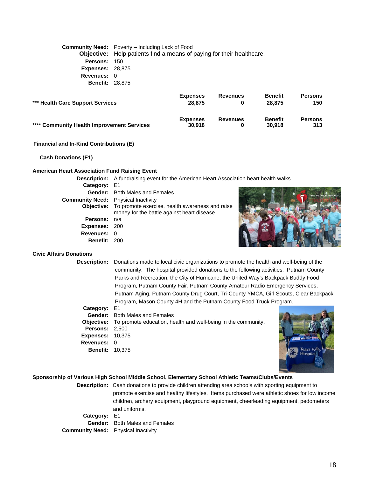**Community Need:** Poverty – Including Lack of Food **Objective:** Help patients find a means of paying for their healthcare. **Persons:** 150 **Expenses:** 28,875 **Revenues:** 0 **Benefit:** 28,875

| *** Health Care Support Services           | <b>Expenses</b><br>28,875 | <b>Revenues</b> | <b>Benefit</b><br>28.875 | <b>Persons</b><br>150 |
|--------------------------------------------|---------------------------|-----------------|--------------------------|-----------------------|
| **** Community Health Improvement Services | <b>Expenses</b><br>30.918 | <b>Revenues</b> | <b>Benefit</b><br>30.918 | <b>Persons</b><br>313 |

#### **Financial and In-Kind Contributions (E)**

**Cash Donations (E1)**

#### **American Heart Association Fund Raising Event**

|                                            | <b>Description:</b> A fundraising event for the American Heart Association heart health walks.            |                           |
|--------------------------------------------|-----------------------------------------------------------------------------------------------------------|---------------------------|
| Category: E1                               |                                                                                                           |                           |
|                                            | <b>Gender:</b> Both Males and Females                                                                     | American Heart Associatio |
| <b>Community Need:</b> Physical Inactivity |                                                                                                           |                           |
|                                            | Objective: To promote exercise, health awareness and raise<br>money for the battle against heart disease. |                           |
| <b>Persons:</b> n/a                        |                                                                                                           |                           |
| <b>Expenses: 200</b>                       |                                                                                                           |                           |
| Revenues: 0                                |                                                                                                           |                           |
| <b>Benefit: 200</b>                        |                                                                                                           |                           |

#### **Civic Affairs Donations**

**Description:** Donations made to local civic organizations to promote the health and well-being of the community. The hospital provided donations to the following activities: Putnam County Parks and Recreation, the City of Hurricane, the United Way's Backpack Buddy Food Program, Putnam County Fair, Putnam County Amateur Radio Emergency Services, Putnam Aging, Putnam County Drug Court, Tri-County YMCA, Girl Scouts, Clear Backpack Program, Mason County 4H and the Putnam County Food Truck Program.

**Category:** E1 **Gender:** Both Males and Females **Objective:** To promote education, health and well-being in the community. **Persons:** 2,500 **Expenses:** 10,375 **Revenues:** 0 **Benefit:** 10,375



#### **Sponsorship of Various High School Middle School, Elementary School Athletic Teams/Clubs/Events**

**Description:** Cash donations to provide children attending area schools with sporting equipment to promote exercise and healthy lifestyles. Items purchased were athletic shoes for low income children, archery equipment, playground equipment, cheerleading equipment, pedometers and uniforms.

**Category:** E1 **Gender:** Both Males and Females **Community Need:** Physical Inactivity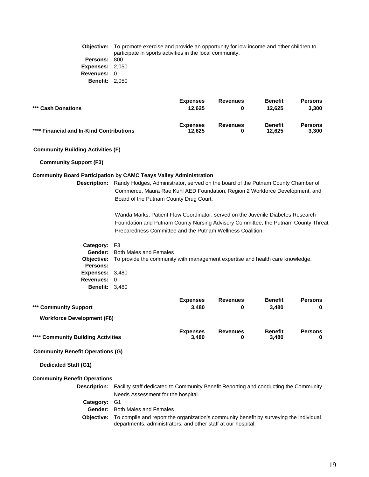**Objective:** To promote exercise and provide an opportunity for low income and other children to participate in sports activities in the local community. **Persons:** 800 **Expenses:** 2,050 **Revenues:** 0 **Benefit:** 2,050

|                                          | <b>Expenses</b> | <b>Revenues</b> | <b>Benefit</b> | <b>Persons</b> |
|------------------------------------------|-----------------|-----------------|----------------|----------------|
| *** Cash Donations                       | 12.625          |                 | 12.625         | 3.300          |
|                                          | <b>Expenses</b> | <b>Revenues</b> | <b>Benefit</b> | <b>Persons</b> |
| **** Financial and In-Kind Contributions | 12.625          |                 | 12.625         | 3.300          |

#### **Community Building Activities (F)**

**Community Support (F3)**

#### **Community Board Participation by CAMC Teays Valley Administration**

**Description:** Randy Hodges, Administrator, served on the board of the Putnam County Chamber of Commerce, Maura Rae Kuhl AED Foundation, Region 2 Workforce Development, and Board of the Putnam County Drug Court.

> Wanda Marks, Patient Flow Coordinator, served on the Juvenile Diabetes Research Foundation and Putnam County Nursing Advisory Committee, the Putnam County Threat Preparedness Committee and the Putnam Wellness Coalition.

**Category:** F3 **Gender:** Both Males and Females **Objective:** To provide the community with management expertise and health care knowledge. **Persons: Expenses:** 3,480 **Revenues:** 0 **Benefit:** 3,480

|                                    | <b>Expenses</b>          | <b>Revenues</b> | <b>Benefit</b>          | <b>Persons</b> |
|------------------------------------|--------------------------|-----------------|-------------------------|----------------|
| *** Community Support              | 3,480                    | 0               | 3.480                   | $\mathbf{0}$   |
| <b>Workforce Development (F8)</b>  |                          |                 |                         |                |
| **** Community Building Activities | <b>Expenses</b><br>3.480 | <b>Revenues</b> | <b>Benefit</b><br>3.480 | <b>Persons</b> |

#### **Community Benefit Operations (G)**

**Dedicated Staff (G1)**

#### **Community Benefit Operations**

**Description:** Facility staff dedicated to Community Benefit Reporting and conducting the Community Needs Assessment for the hospital. **Category:** G1 **Gender:** Both Males and Females

**Objective:** To compile and report the organization's community benefit by surveying the individual departments, administrators, and other staff at our hospital.